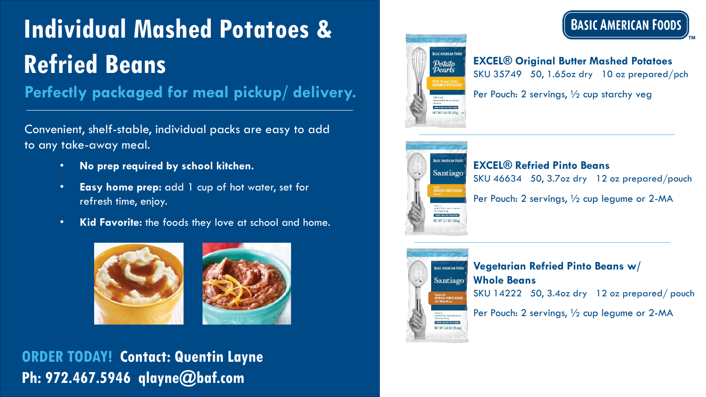# **Individual Mashed Potatoes & Refried Beans**

**Perfectly packaged for meal pickup/ delivery.**

Convenient, shelf-stable, individual packs are easy to add to any take-away meal.

- **No prep required by school kitchen.**
- **Easy home prep:** add 1 cup of hot water, set for refresh time, enjoy.
- **Kid Favorite:** the foods they love at school and home.





### **ORDER TODAY! Contact: Quentin Layne Ph: 972.467.5946 qlayne@baf.com**



## **BASIC AMERICAN FOODS**

**EXCEL® Original Butter Mashed Potatoes**  SKU 35749 50, 1.65oz dry 10 oz prepared/pch

Per Pouch: 2 servings, ½ cup starchy veg



#### **EXCEL® Refried Pinto Beans**

SKU 46634 50, 3.7oz dry 12 oz prepared/pouch

Per Pouch: 2 servings, ½ cup legume or 2-MA



**Vegetarian Refried Pinto Beans w/ Whole Beans**  SKU 14222 50, 3.4oz dry 12 oz prepared/ pouch

Per Pouch: 2 servings, ½ cup legume or 2-MA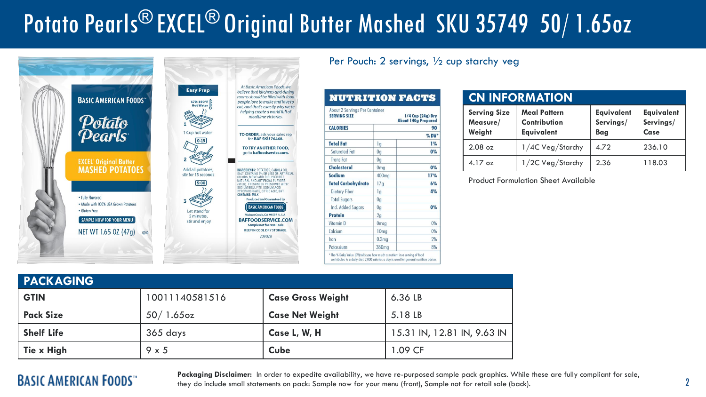# Potato Pearls® EXCEL® Original Butter Mashed SKU 35749 50/ 1.65oz



Per Pouch: 2 servings, ½ cup starchy veg

| About 2 Servings Per Container<br><b>SERVING SIZE</b> |                   | $1/4$ Cup $(24q)$ Dry<br><b>About 140g Prepared</b> |
|-------------------------------------------------------|-------------------|-----------------------------------------------------|
| <b>CALORIES</b>                                       |                   | 90                                                  |
|                                                       |                   | $\%$ DV*                                            |
| <b>Total Fat</b>                                      | 1g                | 1%                                                  |
| Saturated Fat                                         | 0 <sub>g</sub>    | 0%                                                  |
| <b>Trans</b> Fat                                      | 0 <sub>q</sub>    |                                                     |
| <b>Cholesterol</b>                                    | 0 <sub>mg</sub>   | 0%                                                  |
| Sodium                                                | 400 <sub>mg</sub> | 17%                                                 |
| <b>Total Carbohydrate</b>                             | 17g               | 6%                                                  |
| Dietary Fiber                                         | 1g                | 4%                                                  |
| <b>Total Sugars</b>                                   | 0 <sub>q</sub>    |                                                     |
| Incl. Added Sugars                                    | 0 <sub>q</sub>    | 0%                                                  |
| <b>Protein</b>                                        | 2 <sub>q</sub>    |                                                     |
| Vitamin D                                             | 0 <sub>mcg</sub>  | 0%                                                  |
| Calcium                                               | 10 <sub>mg</sub>  | 0%                                                  |
| Iron                                                  | 0.3 <sub>mg</sub> | 2%                                                  |
| Potassium                                             | 380 <sub>mg</sub> | 8%                                                  |

#### **CN INFORMATION**

| <b>Serving Size</b><br>Measure/<br>Weight | <b>Meal Pattern</b><br>Contribution<br><b>Equivalent</b> | <b>Equivalent</b><br>Servings/<br>Bag | <b>Equivalent</b><br>Servings/<br>Case |
|-------------------------------------------|----------------------------------------------------------|---------------------------------------|----------------------------------------|
| $2.08 \text{ oz}$                         | 1/4C Veg/Starchy                                         | 4.72                                  | 236.10                                 |
| $4.17 \text{ oz}$                         | 1/2C Veg/Starchy                                         | 2.36                                  | 118.03                                 |

Product Formulation Sheet Available

| <b>PACKAGING</b>  |                |                          |                             |
|-------------------|----------------|--------------------------|-----------------------------|
| <b>GTIN</b>       | 10011140581516 | <b>Case Gross Weight</b> | 6.36 LB                     |
| <b>Pack Size</b>  | $50/1.65$ oz   | <b>Case Net Weight</b>   | 5.18 LB                     |
| <b>Shelf Life</b> | 365 days       | Case L, W, H             | 15.31 IN, 12.81 IN, 9.63 IN |
| Tie x High        | $9 \times 5$   | <b>Cube</b>              | 1.09 CF                     |

### **BASIC AMERICAN FOODS**"

Packaging Disclaimer: In order to expedite availability, we have re-purposed sample pack graphics. While these are fully compliant for sale, they do include small statements on pack: Sample now for your menu (front), Sample not for retail sale (back).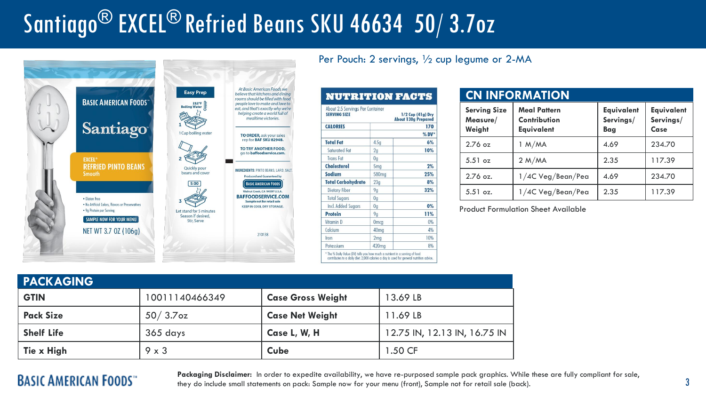# Santiago® EXCEL® Refried Beans SKU 46634 50/ 3.7oz



Per Pouch: 2 servings, ½ cup legume or 2-MA

| About 2.5 Servings Per Container<br><b>SERVING SIZE</b> |                   | $1/2$ Cup (41g) Dry<br><b>About 130a Prepared</b> |
|---------------------------------------------------------|-------------------|---------------------------------------------------|
| <b>CALORIES</b>                                         |                   | 170                                               |
|                                                         |                   | $\%$ DV*                                          |
| <b>Total Fat</b>                                        | 4.5 <sub>q</sub>  | 6%                                                |
| Saturated Fat                                           | 2 <sub>q</sub>    | 10%                                               |
| <b>Trans</b> Fat                                        | 0 <sub>q</sub>    |                                                   |
| Cholesterol                                             | 5 <sub>mg</sub>   | 2%                                                |
| <b>Sodium</b>                                           | 580 <sub>mg</sub> | 25%                                               |
| <b>Total Carbohydrate</b>                               | 23 <sub>g</sub>   | 8%                                                |
| Dietary Fiber                                           | 9g                | 32%                                               |
| <b>Total Sugars</b>                                     | 0 <sub>q</sub>    |                                                   |
| Incl. Added Sugars                                      | 0 <sub>q</sub>    | 0%                                                |
| <b>Protein</b>                                          | 9q                | 11%                                               |
| Vitamin D                                               | <b>Omcg</b>       | 0%                                                |
| Calcium                                                 | 40 <sub>mg</sub>  | 4%                                                |
| Iron                                                    | 2 <sub>mg</sub>   | 10%                                               |
| Potassium                                               | 420 <sub>mg</sub> | 8%                                                |

### **CN INFORMATION**

| <b>Serving Size</b><br>Measure/<br>Weight | <b>Meal Pattern</b><br>Contribution<br><b>Equivalent</b> | <b>Equivalent</b><br>Servings/<br><b>Bag</b> | <b>Equivalent</b><br>Servings/<br>Case |
|-------------------------------------------|----------------------------------------------------------|----------------------------------------------|----------------------------------------|
| $2.76$ oz                                 | 1 M/MA                                                   | 4.69                                         | 234.70                                 |
| $5.51$ oz                                 | 2 M/MA                                                   | 2.35                                         | 117.39                                 |
| $2.76$ oz.                                | 1/4C Veg/Bean/Pea                                        | 4.69                                         | 234.70                                 |
| $5.51$ oz.                                | 1/4C Veg/Bean/Pea                                        | 2.35                                         | 117.39                                 |

Product Formulation Sheet Available

| <b>PACKAGING</b>  |                |                          |                              |
|-------------------|----------------|--------------------------|------------------------------|
| <b>GTIN</b>       | 10011140466349 | <b>Case Gross Weight</b> | 13.69 LB                     |
| <b>Pack Size</b>  | $50/3.7$ oz    | <b>Case Net Weight</b>   | 11.69 LB                     |
| <b>Shelf Life</b> | 365 days       | Case L, W, H             | 12.75 IN, 12.13 IN, 16.75 IN |
| Tie x High        | $9 \times 3$   | <b>Cube</b>              | 1.50 CF                      |

### **BASIC AMERICAN FOODS**"

Packaging Disclaimer: In order to expedite availability, we have re-purposed sample pack graphics. While these are fully compliant for sale, they do include small statements on pack: Sample now for your menu (front), Sample not for retail sale (back).